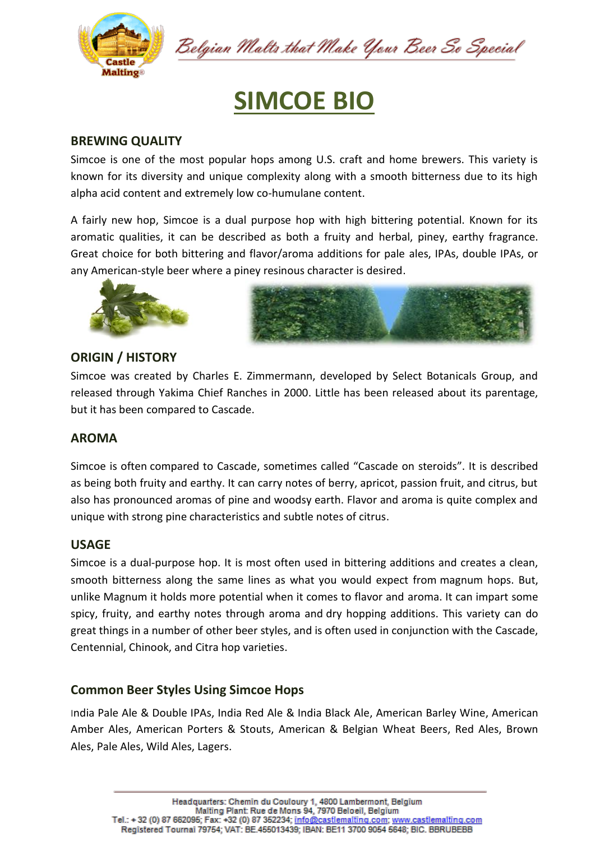

Belgian Malts that Make Your Beer So Special

# **SIMCOE BIO**

# **BREWING QUALITY**

Simcoe is one of the most popular hops among U.S. craft and home brewers. This variety is known for its diversity and unique complexity along with a smooth bitterness due to its high alpha acid content and extremely low co-humulane content.

A fairly new hop, Simcoe is a dual purpose hop with high bittering potential. Known for its aromatic qualities, it can be described as both a fruity and herbal, piney, earthy fragrance. Great choice for both bittering and flavor/aroma additions for pale ales, IPAs, double IPAs, or any American-style beer where a piney resinous character is desired.





## **ORIGIN / HISTORY**

Simcoe was created by Charles E. Zimmermann, developed by Select Botanicals Group, and released through Yakima Chief Ranches in 2000. Little has been released about its parentage, but it has been compared to [Cascade.](http://brooklynbrewshop.com/themash/cascade-hops/)

## **AROMA**

Simcoe is often [compared to Cascade,](https://learn.kegerator.com/cascade-hops/) sometimes called "Cascade on steroids". It is described as being both fruity and earthy. It can carry notes of berry, apricot, passion fruit, and citrus, but also has pronounced aromas of pine and woodsy earth. Flavor and aroma is quite complex and unique with strong pine characteristics and subtle notes of citrus.

#### **USAGE**

Simcoe is a dual-purpose hop. It is most often used in bittering additions and creates a clean, smooth bitterness along the same lines as what you would expect from [magnum hops.](https://learn.kegerator.com/magnum-hops/) But, unlike Magnum it holds more potential when it comes to flavor and aroma. It can impart some spicy, fruity, and earthy notes through aroma and [dry hopping additions.](https://learn.kegerator.com/dry-hopping/) This variety can do great things in a number of [other beer styles,](https://learn.kegerator.com/beer-styles/) and is often used in conjunction with the Cascade, Centennial, Chinook, and Citra hop varieties.

## **Common Beer Styles Using Simcoe Hops**

India Pale Ale & Double IPAs, India Red Ale & India Black Ale, American Barley Wine, American Amber Ales, American Porters & Stouts, American & Belgian Wheat Beers, Red Ales, Brown Ales, Pale Ales, Wild Ales, Lagers.